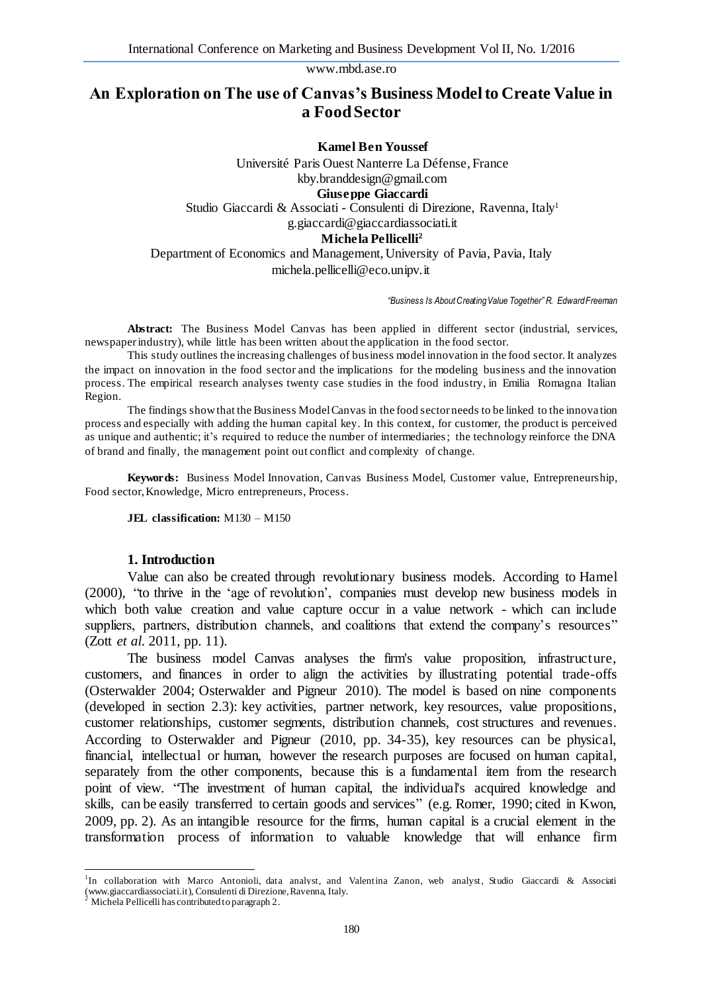# **An Exploration on The use of Canvas's Business Model to Create Value in a Food Sector**

**Kamel Ben Youssef** Université Paris Ouest Nanterre La Défense, France kby.branddesign@gmail.com **Giuseppe Giaccardi** Studio Giaccardi & Associati - Consulenti di Direzione, Ravenna, Italy<sup>1</sup> g.giaccardi@giaccardiassociati.it **Michela Pellicelli<sup>2</sup>** Department of Economics and Management, University of Pavia, Pavia, Italy michela.pellicelli@eco.unipv.it

*"Business Is About Creating Value Together" R. Edward Freeman*

**Abstract:** The Business Model Canvas has been applied in different sector (industrial, services, newspaper industry), while little has been written about the application in the food sector.

This study outlines the increasing challenges of business model innovation in the food sector. It analyzes the impact on innovation in the food sector and the implications for the modeling business and the innovation process. The empirical research analyses twenty case studies in the food industry, in Emilia Romagna Italian Region.

The findings show that the Business Model Canvas in the food sector needs to be linked to the innova tion process and especially with adding the human capital key. In this context, for customer, the product is perceived as unique and authentic; it's required to reduce the number of intermediaries; the technology reinforce the DNA of brand and finally, the management point out conflict and complexity of change.

**Keywords:** Business Model Innovation, Canvas Business Model, Customer value, Entrepreneurship, Food sector, Knowledge, Micro entrepreneurs, Process.

**JEL classification:** M130 – M150

#### **1. Introduction**

Value can also be created through revolutionary business models. According to Hamel (2000), "to thrive in the 'age of revolution', companies must develop new business models in which both value creation and value capture occur in a value network - which can include suppliers, partners, distribution channels, and coalitions that extend the company's resources" (Zott *et al*. 2011, pp. 11).

The business model Canvas analyses the firm's value proposition, infrastructure, customers, and finances in order to align the activities by illustrating potential trade-offs (Osterwalder 2004; Osterwalder and Pigneur 2010). The model is based on nine components (developed in section 2.3): key activities, partner network, key resources, value propositions, customer relationships, customer segments, distribution channels, cost structures and revenues. According to Osterwalder and Pigneur (2010, pp. 34-35), key resources can be physical, financial, intellectual or human, however the research purposes are focused on human capital, separately from the other components, because this is a fundamental item from the research point of view. "The investment of human capital, the individual's acquired knowledge and skills, can be easily transferred to certain goods and services" (e.g. Romer, 1990; cited in Kwon, 2009, pp. 2). As an intangible resource for the firms, human capital is a crucial element in the transformation process of information to valuable knowledge that will enhance firm

 $\overline{a}$ 

<sup>&</sup>lt;sup>1</sup>In collaboration with Marco Antonioli, data analyst, and Valentina Zanon, web analyst, Studio Giaccardi & Associati [\(www.giaccardiassociati.it\)](http://www.giaccardiassociati.it)/), Consulenti di Direzione, Ravenna, Italy. <sup>2</sup> Michela Pellicelli has contributed to paragraph 2.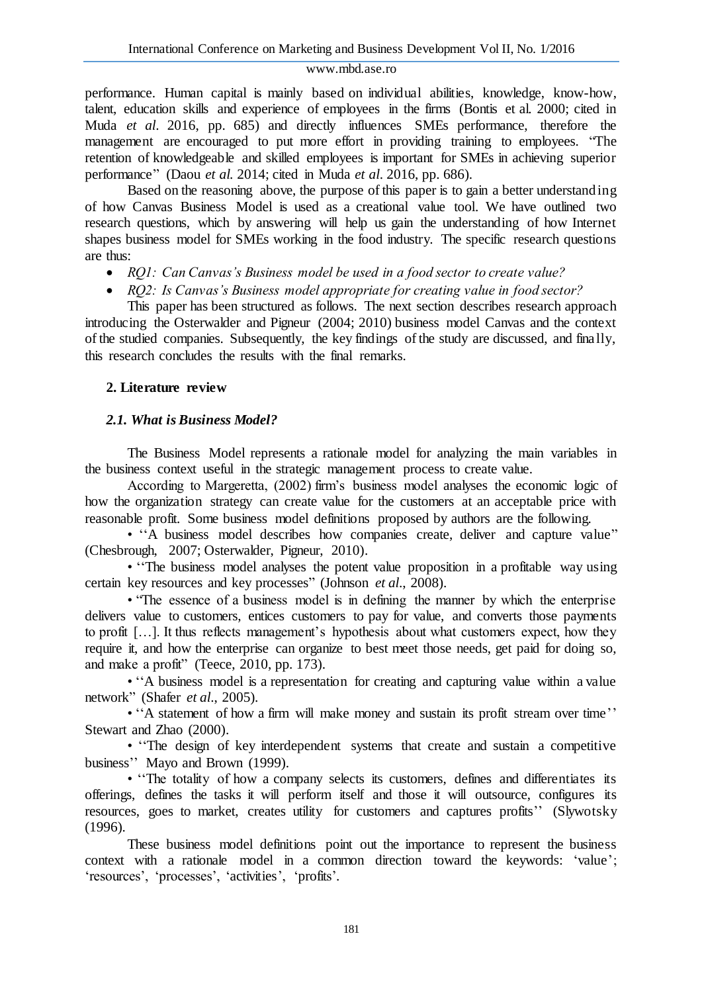performance. Human capital is mainly based on individual abilities, knowledge, know-how, talent, education skills and experience of employees in the firms (Bontis et al. 2000; cited in Muda *et al*. 2016, pp. 685) and directly influences SMEs performance, therefore the management are encouraged to put more effort in providing training to employees. "The retention of knowledgeable and skilled employees is important for SMEs in achieving superior performance" (Daou *et al.* 2014; cited in Muda *et al*. 2016, pp. 686).

Based on the reasoning above, the purpose of this paper is to gain a better understanding of how Canvas Business Model is used as a creational value tool. We have outlined two research questions, which by answering will help us gain the understanding of how Internet shapes business model for SMEs working in the food industry. The specific research questions are thus:

- *RQ1: Can Canvas's Business model be used in a food sector to create value?*
- *RQ2: Is Canvas's Business model appropriate for creating value in food sector?*

This paper has been structured as follows. The next section describes research approach introducing the Osterwalder and Pigneur (2004; 2010) business model Canvas and the context of the studied companies. Subsequently, the key findings of the study are discussed, and finally, this research concludes the results with the final remarks.

### **2. Literature review**

# *2.1. What is Business Model?*

The Business Model represents a rationale model for analyzing the main variables in the business context useful in the strategic management process to create value.

According to Margeretta, (2002) firm's business model analyses the economic logic of how the organization strategy can create value for the customers at an acceptable price with reasonable profit. Some business model definitions proposed by authors are the following.

• ''A business model describes how companies create, deliver and capture value" (Chesbrough, 2007; Osterwalder, Pigneur, 2010).

• "The business model analyses the potent value proposition in a profitable way using certain key resources and key processes" (Johnson *et al*., 2008).

• "The essence of a business model is in defining the manner by which the enterprise delivers value to customers, entices customers to pay for value, and converts those payments to profit […]. It thus reflects management's hypothesis about what customers expect, how they require it, and how the enterprise can organize to best meet those needs, get paid for doing so, and make a profit" (Teece, 2010, pp. 173).

• "A business model is a representation for creating and capturing value within a value network" (Shafer *et al*., 2005).

• "A statement of how a firm will make money and sustain its profit stream over time'' Stewart and Zhao (2000).

• ''The design of key interdependent systems that create and sustain a competitive business'' Mayo and Brown (1999).

• "The totality of how a company selects its customers, defines and differentiates its offerings, defines the tasks it will perform itself and those it will outsource, configures its resources, goes to market, creates utility for customers and captures profits'' (Slywotsky (1996).

These business model definitions point out the importance to represent the business context with a rationale model in a common direction toward the keywords: 'value'; 'resources', 'processes', 'activities', 'profits'.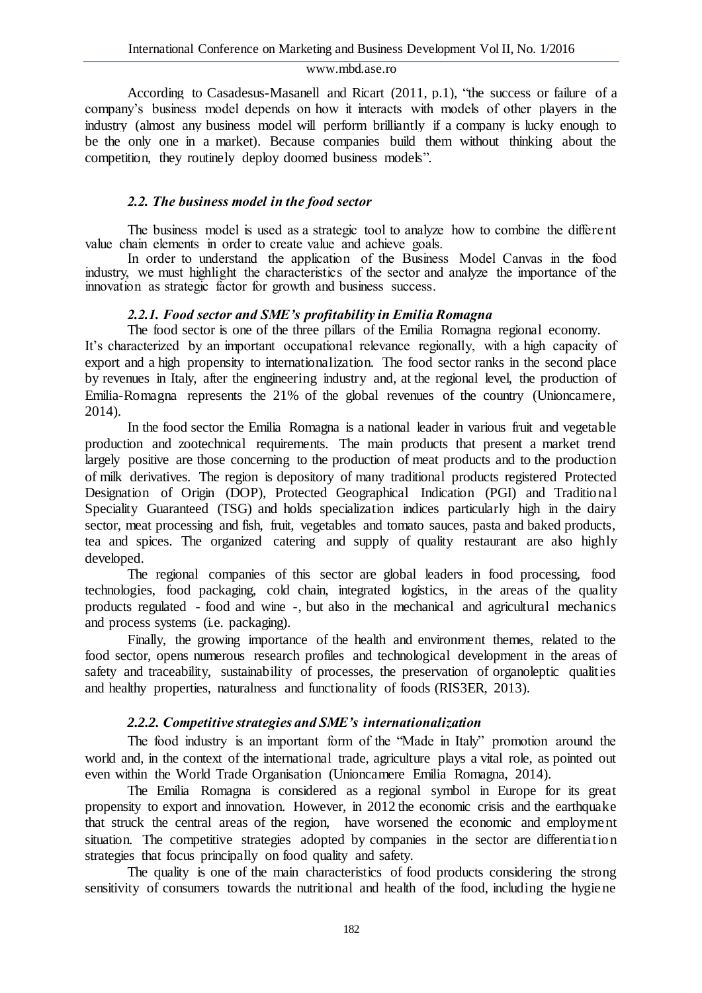According to Casadesus-Masanell and Ricart (2011, p.1), "the success or failure of a company's business model depends on how it interacts with models of other players in the industry (almost any business model will perform brilliantly if a company is lucky enough to be the only one in a market). Because companies build them without thinking about the competition, they routinely deploy doomed business models".

### *2.2. The business model in the food sector*

The business model is used as a strategic tool to analyze how to combine the different value chain elements in order to create value and achieve goals.

In order to understand the application of the Business Model Canvas in the food industry, we must highlight the characteristics of the sector and analyze the importance of the innovation as strategic factor for growth and business success.

### *2.2.1. Food sector and SME's profitability in Emilia Romagna*

The food sector is one of the three pillars of the Emilia Romagna regional economy.

It's characterized by an important occupational relevance regionally, with a high capacity of export and a high propensity to internationalization. The food sector ranks in the second place by revenues in Italy, after the engineering industry and, at the regional level, the production of Emilia-Romagna represents the 21% of the global revenues of the country (Unioncamere, 2014).

In the food sector the Emilia Romagna is a national leader in various fruit and vegetable production and zootechnical requirements. The main products that present a market trend largely positive are those concerning to the production of meat products and to the production of milk derivatives. The region is depository of many traditional products registered Protected Designation of Origin (DOP), Protected Geographical Indication (PGI) and Traditional Speciality Guaranteed (TSG) and holds specialization indices particularly high in the dairy sector, meat processing and fish, fruit, vegetables and tomato sauces, pasta and baked products, tea and spices. The organized catering and supply of quality restaurant are also highly developed.

The regional companies of this sector are global leaders in food processing, food technologies, food packaging, cold chain, integrated logistics, in the areas of the quality products regulated - food and wine -, but also in the mechanical and agricultural mechanics and process systems (i.e. packaging).

Finally, the growing importance of the health and environment themes, related to the food sector, opens numerous research profiles and technological development in the areas of safety and traceability, sustainability of processes, the preservation of organoleptic qualities and healthy properties, naturalness and functionality of foods (RIS3ER, 2013).

### *2.2.2. Competitive strategies and SME's internationalization*

The food industry is an important form of the "Made in Italy" promotion around the world and, in the context of the international trade, agriculture plays a vital role, as pointed out even within the World Trade Organisation (Unioncamere Emilia Romagna, 2014).

The Emilia Romagna is considered as a regional symbol in Europe for its great propensity to export and innovation. However, in 2012 the economic crisis and the earthquake that struck the central areas of the region, have worsened the economic and employment situation. The competitive strategies adopted by companies in the sector are differentiation strategies that focus principally on food quality and safety.

The quality is one of the main characteristics of food products considering the strong sensitivity of consumers towards the nutritional and health of the food, including the hygiene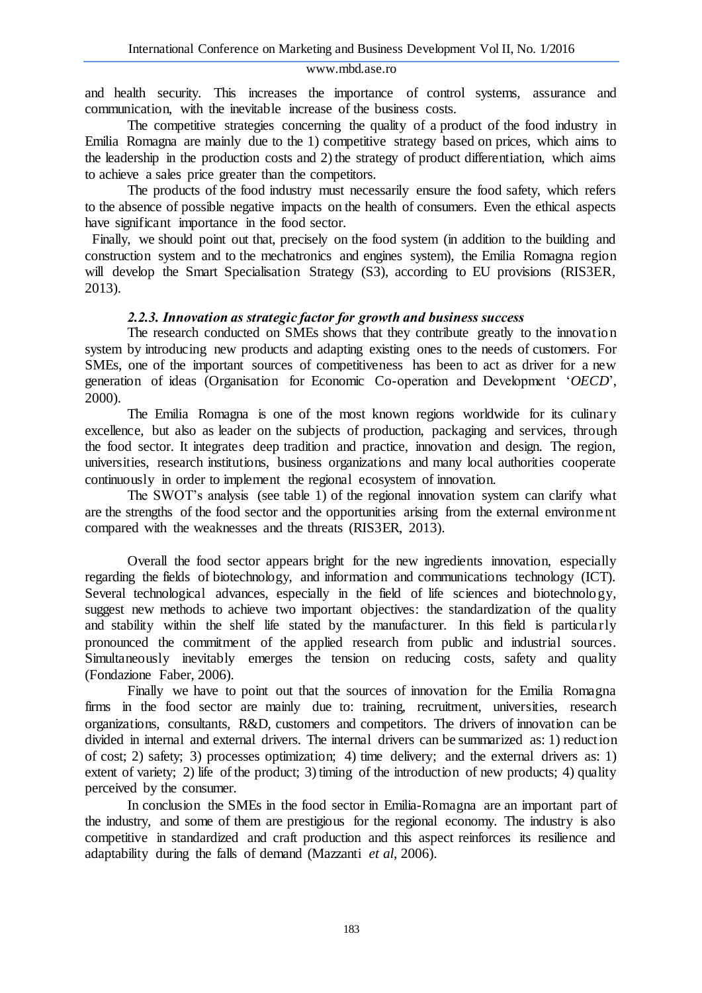and health security. This increases the importance of control systems, assurance and communication, with the inevitable increase of the business costs.

The competitive strategies concerning the quality of a product of the food industry in Emilia Romagna are mainly due to the 1) competitive strategy based on prices, which aims to the leadership in the production costs and 2) the strategy of product differentiation, which aims to achieve a sales price greater than the competitors.

The products of the food industry must necessarily ensure the food safety, which refers to the absence of possible negative impacts on the health of consumers. Even the ethical aspects have significant importance in the food sector.

Finally, we should point out that, precisely on the food system (in addition to the building and construction system and to the mechatronics and engines system), the Emilia Romagna region will develop the Smart Specialisation Strategy (S3), according to EU provisions (RIS3ER, 2013).

# *2.2.3. Innovation as strategic factor for growth and business success*

The research conducted on SMEs shows that they contribute greatly to the innovation system by introducing new products and adapting existing ones to the needs of customers. For SMEs, one of the important sources of competitiveness has been to act as driver for a new generation of ideas (Organisation for Economic Co-operation and Development '*OECD*', 2000).

The Emilia Romagna is one of the most known regions worldwide for its culinary excellence, but also as leader on the subjects of production, packaging and services, through the food sector. It integrates deep tradition and practice, innovation and design. The region, universities, research institutions, business organizations and many local authorities cooperate continuously in order to implement the regional ecosystem of innovation.

The SWOT's analysis (see table 1) of the regional innovation system can clarify what are the strengths of the food sector and the opportunities arising from the external environment compared with the weaknesses and the threats (RIS3ER, 2013).

Overall the food sector appears bright for the new ingredients innovation, especially regarding the fields of biotechnology, and information and communications technology (ICT). Several technological advances, especially in the field of life sciences and biotechnology, suggest new methods to achieve two important objectives: the standardization of the quality and stability within the shelf life stated by the manufacturer. In this field is particularly pronounced the commitment of the applied research from public and industrial sources. Simultaneously inevitably emerges the tension on reducing costs, safety and quality (Fondazione Faber, 2006).

Finally we have to point out that the sources of innovation for the Emilia Romagna firms in the food sector are mainly due to: training, recruitment, universities, research organizations, consultants, R&D, customers and competitors. The drivers of innovation can be divided in internal and external drivers. The internal drivers can be summarized as: 1) reduction of cost; 2) safety; 3) processes optimization; 4) time delivery; and the external drivers as: 1) extent of variety; 2) life of the product; 3) timing of the introduction of new products; 4) quality perceived by the consumer.

In conclusion the SMEs in the food sector in Emilia-Romagna are an important part of the industry, and some of them are prestigious for the regional economy. The industry is also competitive in standardized and craft production and this aspect reinforces its resilience and adaptability during the falls of demand (Mazzanti *et al*, 2006).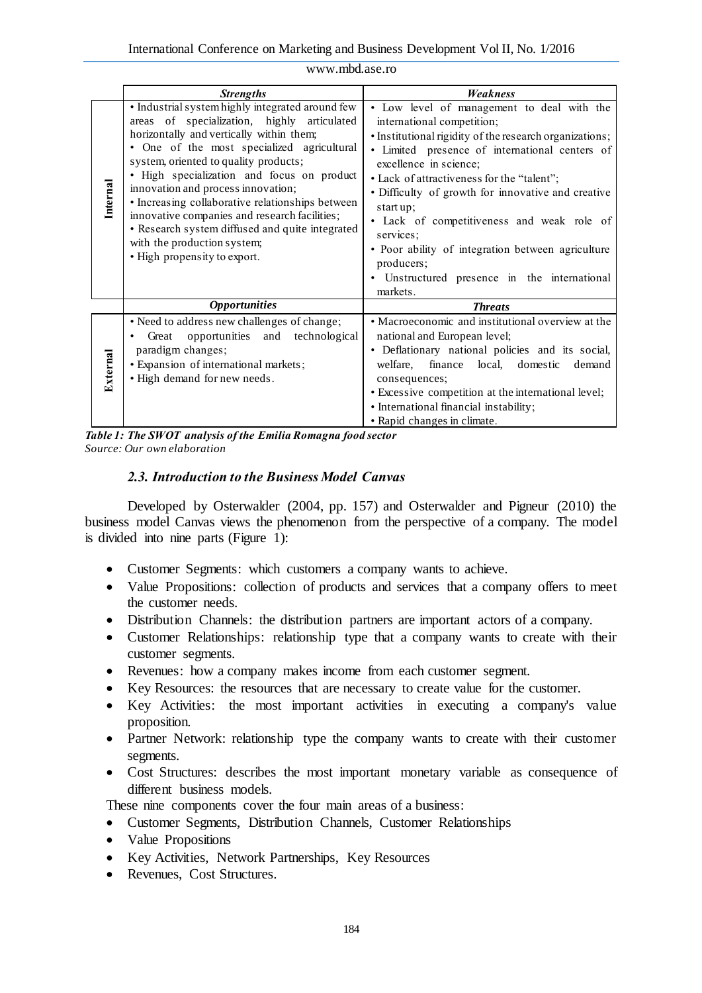|                 | <b>Strengths</b>                                                                                                                                                                                                                                                                                                                                                                                                                                                                                                                              | <b>Weakness</b>                                                                                                                                                                                                                                                                                                                                                                                                                                                                                                               |
|-----------------|-----------------------------------------------------------------------------------------------------------------------------------------------------------------------------------------------------------------------------------------------------------------------------------------------------------------------------------------------------------------------------------------------------------------------------------------------------------------------------------------------------------------------------------------------|-------------------------------------------------------------------------------------------------------------------------------------------------------------------------------------------------------------------------------------------------------------------------------------------------------------------------------------------------------------------------------------------------------------------------------------------------------------------------------------------------------------------------------|
| Internal        | · Industrial system highly integrated around few<br>areas of specialization, highly articulated<br>horizontally and vertically within them;<br>• One of the most specialized agricultural<br>system, oriented to quality products;<br>• High specialization and focus on product<br>innovation and process innovation;<br>• Increasing collaborative relationships between<br>innovative companies and research facilities;<br>• Research system diffused and quite integrated<br>with the production system;<br>· High propensity to export. | · Low level of management to deal with the<br>international competition;<br>· Institutional rigidity of the research organizations;<br>· Limited presence of international centers of<br>excellence in science;<br>• Lack of attractiveness for the "talent";<br>• Difficulty of growth for innovative and creative<br>start $up$ ;<br>· Lack of competitiveness and weak role of<br>services;<br>• Poor ability of integration between agriculture<br>producers;<br>• Unstructured presence in the international<br>markets. |
|                 | <b>Opportunities</b>                                                                                                                                                                                                                                                                                                                                                                                                                                                                                                                          | <b>Threats</b>                                                                                                                                                                                                                                                                                                                                                                                                                                                                                                                |
| <b>External</b> | • Need to address new challenges of change;<br>Great opportunities and<br>technological<br>paradigm changes;<br>· Expansion of international markets;<br>· High demand for new needs.                                                                                                                                                                                                                                                                                                                                                         | • Macroeconomic and institutional overview at the<br>national and European level;<br>• Deflationary national policies and its social,<br>welfare,<br>finance local,<br>domestic<br>demand<br>consequences;<br>• Excessive competition at the international level;<br>• International financial instability;<br>• Rapid changes in climate.                                                                                                                                                                                    |

*Table 1: The SWOT analysis of the Emilia Romagna food sector Source: Our own elaboration*

# *2.3. Introduction to the Business Model Canvas*

Developed by Osterwalder (2004, pp. 157) and Osterwalder and Pigneur (2010) the business model Canvas views the phenomenon from the perspective of a company. The model is divided into nine parts (Figure 1):

- Customer Segments: which customers a company wants to achieve.
- Value Propositions: collection of products and services that a company offers to meet the customer needs.
- Distribution Channels: the distribution partners are important actors of a company.
- Customer Relationships: relationship type that a company wants to create with their customer segments.
- Revenues: how a company makes income from each customer segment.
- Key Resources: the resources that are necessary to create value for the customer.
- Key Activities: the most important activities in executing a company's value proposition.
- Partner Network: relationship type the company wants to create with their customer segments.
- Cost Structures: describes the most important monetary variable as consequence of different business models.

These nine components cover the four main areas of a business:

- Customer Segments, Distribution Channels, Customer Relationships
- Value Propositions
- Key Activities, Network Partnerships, Key Resources
- Revenues, Cost Structures.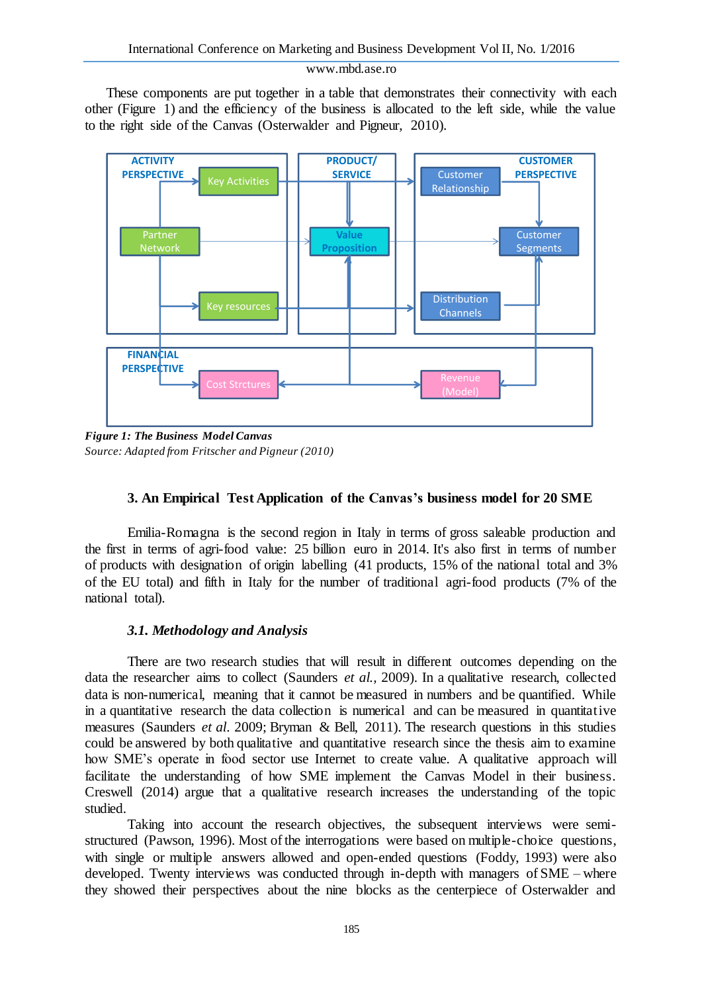These components are put together in a table that demonstrates their connectivity with each other (Figure 1) and the efficiency of the business is allocated to the left side, while the value to the right side of the Canvas (Osterwalder and Pigneur, 2010).



*Figure 1: The Business Model Canvas Source: Adapted from Fritscher and Pigneur (2010)*

### **3. An Empirical Test Application of the Canvas's business model for 20 SME**

Emilia-Romagna is the second region in Italy in terms of gross saleable production and the first in terms of agri-food value: 25 billion euro in 2014. It's also first in terms of number of products with designation of origin labelling (41 products, 15% of the national total and 3% of the EU total) and fifth in Italy for the number of traditional agri-food products (7% of the national total).

### *3.1. Methodology and Analysis*

There are two research studies that will result in different outcomes depending on the data the researcher aims to collect (Saunders *et al.,* 2009). In a qualitative research, collected data is non-numerical, meaning that it cannot be measured in numbers and be quantified. While in a quantitative research the data collection is numerical and can be measured in quantitative measures (Saunders *et al*. 2009; Bryman & Bell, 2011). The research questions in this studies could be answered by both qualitative and quantitative research since the thesis aim to examine how SME's operate in food sector use Internet to create value. A qualitative approach will facilitate the understanding of how SME implement the Canvas Model in their business. Creswell (2014) argue that a qualitative research increases the understanding of the topic studied.

Taking into account the research objectives, the subsequent interviews were semistructured (Pawson, 1996). Most of the interrogations were based on multiple-choice questions, with single or multiple answers allowed and open-ended questions (Foddy, 1993) were also developed. Twenty interviews was conducted through in-depth with managers of SME – where they showed their perspectives about the nine blocks as the centerpiece of Osterwalder and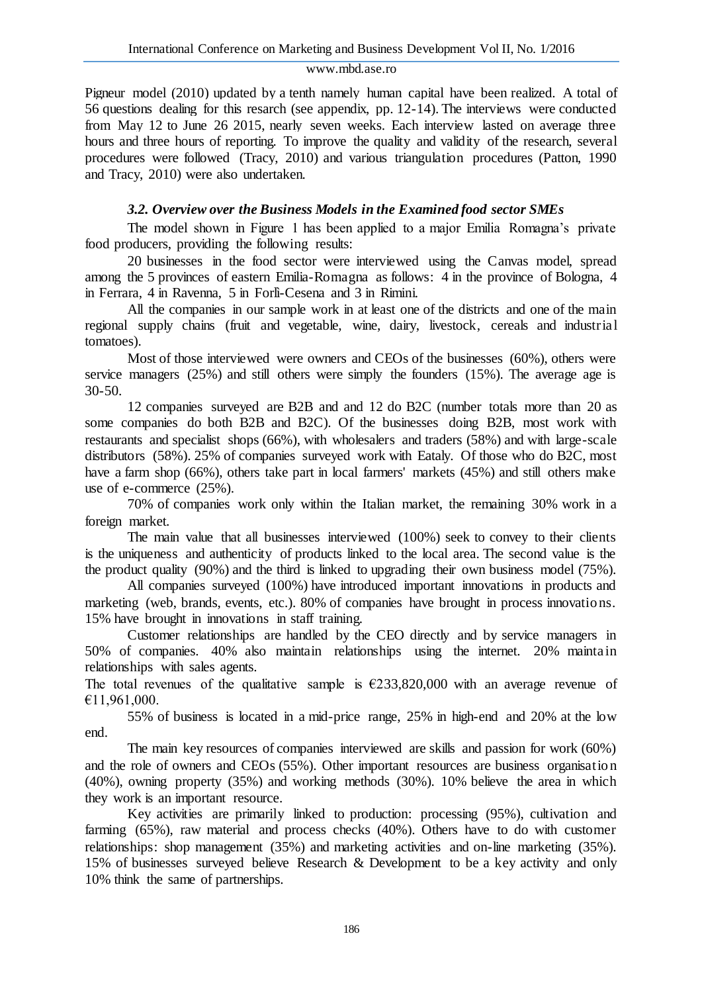Pigneur model (2010) updated by a tenth namely human capital have been realized. A total of 56 questions dealing for this resarch (see appendix, pp. 12-14). The interviews were conducted from May 12 to June 26 2015, nearly seven weeks. Each interview lasted on average three hours and three hours of reporting. To improve the quality and validity of the research, several procedures were followed (Tracy, 2010) and various triangulation procedures (Patton, 1990 and Tracy, 2010) were also undertaken.

# *3.2. Overview over the Business Models in the Examined food sector SMEs*

The model shown in Figure 1 has been applied to a major Emilia Romagna's private food producers, providing the following results:

20 businesses in the food sector were interviewed using the Canvas model, spread among the 5 provinces of eastern Emilia-Romagna as follows: 4 in the province of Bologna, 4 in Ferrara, 4 in Ravenna, 5 in Forlì-Cesena and 3 in Rimini.

All the companies in our sample work in at least one of the districts and one of the main regional supply chains (fruit and vegetable, wine, dairy, livestock, cereals and industrial tomatoes).

Most of those interviewed were owners and CEOs of the businesses (60%), others were service managers (25%) and still others were simply the founders (15%). The average age is 30-50.

12 companies surveyed are B2B and and 12 do B2C (number totals more than 20 as some companies do both B2B and B2C). Of the businesses doing B2B, most work with restaurants and specialist shops (66%), with wholesalers and traders (58%) and with large-scale distributors (58%). 25% of companies surveyed work with Eataly. Of those who do B2C, most have a farm shop (66%), others take part in local farmers' markets (45%) and still others make use of e-commerce (25%).

70% of companies work only within the Italian market, the remaining 30% work in a foreign market.

The main value that all businesses interviewed (100%) seek to convey to their clients is the uniqueness and authenticity of products linked to the local area. The second value is the the product quality (90%) and the third is linked to upgrading their own business model (75%).

All companies surveyed (100%) have introduced important innovations in products and marketing (web, brands, events, etc.). 80% of companies have brought in process innovations. 15% have brought in innovations in staff training.

Customer relationships are handled by the CEO directly and by service managers in 50% of companies. 40% also maintain relationships using the internet. 20% maintain relationships with sales agents.

The total revenues of the qualitative sample is  $\epsilon$ 233,820,000 with an average revenue of €11,961,000.

55% of business is located in a mid-price range, 25% in high-end and 20% at the low end.

The main key resources of companies interviewed are skills and passion for work (60%) and the role of owners and CEOs (55%). Other important resources are business organisation (40%), owning property (35%) and working methods (30%). 10% believe the area in which they work is an important resource.

Key activities are primarily linked to production: processing (95%), cultivation and farming (65%), raw material and process checks (40%). Others have to do with customer relationships: shop management (35%) and marketing activities and on-line marketing (35%). 15% of businesses surveyed believe Research & Development to be a key activity and only 10% think the same of partnerships.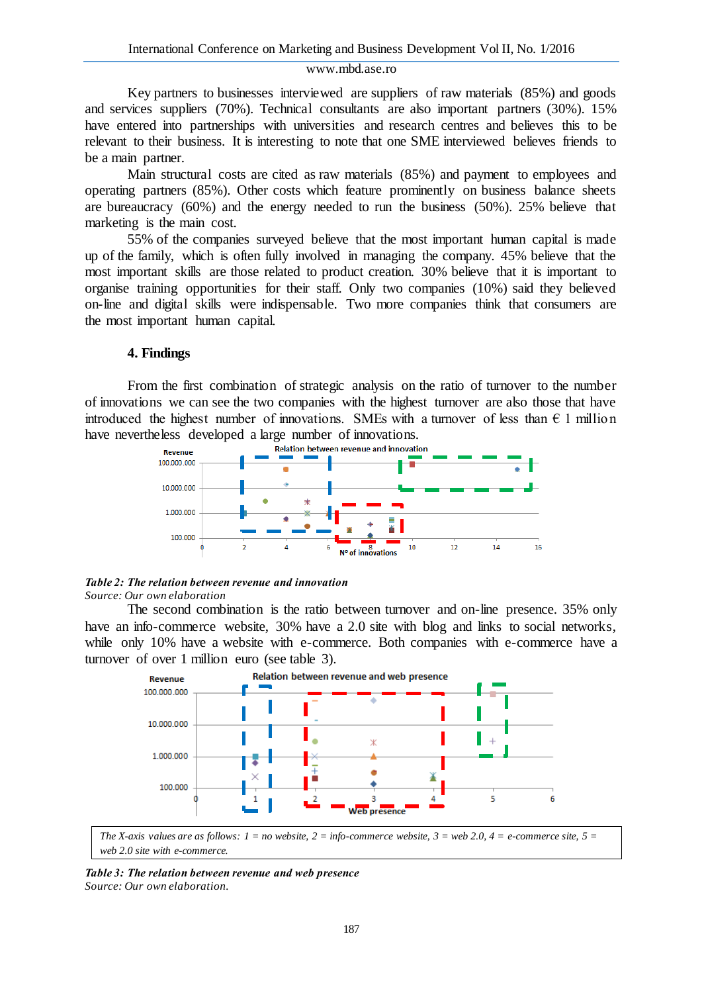Key partners to businesses interviewed are suppliers of raw materials (85%) and goods and services suppliers (70%). Technical consultants are also important partners (30%). 15% have entered into partnerships with universities and research centres and believes this to be relevant to their business. It is interesting to note that one SME interviewed believes friends to be a main partner.

Main structural costs are cited as raw materials (85%) and payment to employees and operating partners (85%). Other costs which feature prominently on business balance sheets are bureaucracy (60%) and the energy needed to run the business (50%). 25% believe that marketing is the main cost.

55% of the companies surveyed believe that the most important human capital is made up of the family, which is often fully involved in managing the company. 45% believe that the most important skills are those related to product creation. 30% believe that it is important to organise training opportunities for their staff. Only two companies (10%) said they believed on-line and digital skills were indispensable. Two more companies think that consumers are the most important human capital.

#### **4. Findings**

From the first combination of strategic analysis on the ratio of turnover to the number of innovations we can see the two companies with the highest turnover are also those that have introduced the highest number of innovations. SMEs with a turnover of less than  $\epsilon$  1 million have nevertheless developed a large number of innovations.<br>
Relation between revenue and innovation



### *Table 2: The relation between revenue and innovation*

*Source: Our own elaboration*

The second combination is the ratio between turnover and on-line presence. 35% only have an info-commerce website, 30% have a 2.0 site with blog and links to social networks, while only 10% have a website with e-commerce. Both companies with e-commerce have a turnover of over 1 million euro (see table 3).



*The X-axis values are as follows: 1 = no website, 2 = info-commerce website, 3 = web 2.0, 4 = e-commerce site, 5 = web 2.0 site with e-commerce.*

*Table 3: The relation between revenue and web presence Source: Our own elaboration.*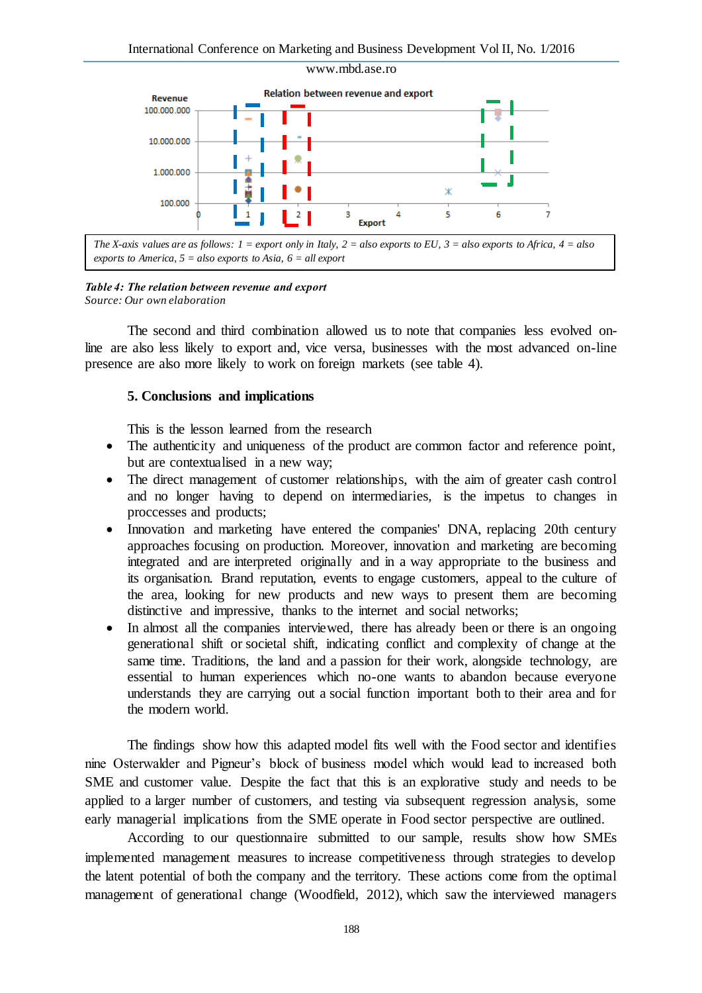

*The X-axis values are as follows: 1 = export only in Italy, 2 = also exports to EU, 3 = also exports to Africa, 4 = also exports to America, 5 = also exports to Asia, 6 = all export*

### *Table 4: The relation between revenue and export*

*Source: Our own elaboration*

The second and third combination allowed us to note that companies less evolved online are also less likely to export and, vice versa, businesses with the most advanced on-line presence are also more likely to work on foreign markets (see table 4).

### **5. Conclusions and implications**

This is the lesson learned from the research

- The authenticity and uniqueness of the product are common factor and reference point, but are contextualised in a new way;
- The direct management of customer relationships, with the aim of greater cash control and no longer having to depend on intermediaries, is the impetus to changes in proccesses and products;
- Innovation and marketing have entered the companies' DNA, replacing 20th century approaches focusing on production. Moreover, innovation and marketing are becoming integrated and are interpreted originally and in a way appropriate to the business and its organisation. Brand reputation, events to engage customers, appeal to the culture of the area, looking for new products and new ways to present them are becoming distinctive and impressive, thanks to the internet and social networks;
- In almost all the companies interviewed, there has already been or there is an ongoing generational shift or societal shift, indicating conflict and complexity of change at the same time. Traditions, the land and a passion for their work, alongside technology, are essential to human experiences which no-one wants to abandon because everyone understands they are carrying out a social function important both to their area and for the modern world.

The findings show how this adapted model fits well with the Food sector and identifies nine Osterwalder and Pigneur's block of business model which would lead to increased both SME and customer value. Despite the fact that this is an explorative study and needs to be applied to a larger number of customers, and testing via subsequent regression analysis, some early managerial implications from the SME operate in Food sector perspective are outlined.

According to our questionnaire submitted to our sample, results show how SMEs implemented management measures to increase competitiveness through strategies to develop the latent potential of both the company and the territory. These actions come from the optimal management of generational change (Woodfield, 2012), which saw the interviewed managers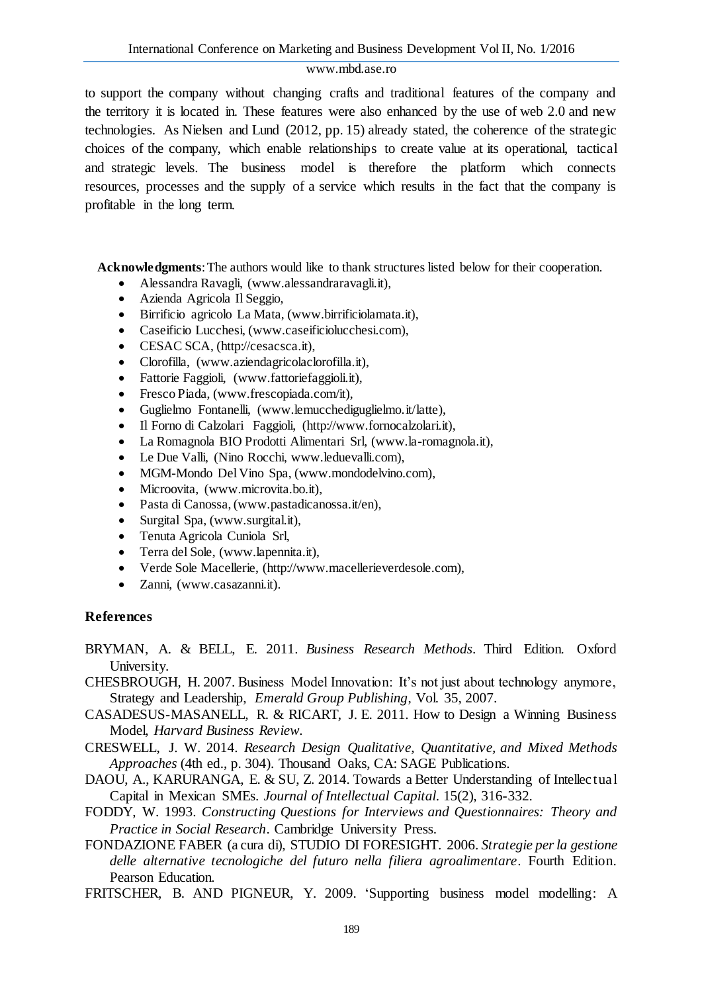to support the company without changing crafts and traditional features of the company and the territory it is located in. These features were also enhanced by the use of web 2.0 and new technologies. As Nielsen and Lund (2012, pp. 15) already stated, the coherence of the strategic choices of the company, which enable relationships to create value at its operational, tactical and strategic levels. The business model is therefore the platform which connects resources, processes and the supply of a service which results in the fact that the company is profitable in the long term.

**Acknowledgments**: The authors would like to thank structures listed below for their cooperation.

- Alessandra Ravagli, (www.alessandraravagli.it),
- Azienda Agricola Il Seggio,
- Birrificio agricolo La Mata, (www.birrificiolamata.it),
- Caseificio Lucchesi, (www.caseificiolucchesi.com),
- CESAC SCA, (http://cesacsca.it),
- Clorofilla, (www.aziendagricolaclorofilla.it),
- Fattorie Faggioli, (www.fattoriefaggioli.it),
- Fresco Piada, (www.frescopiada.com/it),
- Guglielmo Fontanelli, (www.lemucchediguglielmo.it/latte),
- Il Forno di Calzolari Faggioli, (http://www.fornocalzolari.it),
- La Romagnola BIO Prodotti Alimentari Srl, (www.la-romagnola.it),
- Le Due Valli, (Nino Rocchi, www.leduevalli.com),
- MGM-Mondo Del Vino Spa, (www.mondodelvino.com),
- Microovita, (www.microvita.bo.it),
- Pasta di Canossa, (www.pastadicanossa.it/en),
- Surgital Spa, (www.surgital.it),
- Tenuta Agricola Cuniola Srl,
- Terra del Sole, (www.lapennita.it),
- Verde Sole Macellerie, (http://www.macellerieverdesole.com),
- Zanni, (www.casazanni.it).

# **References**

BRYMAN, A. & BELL, E. 2011. *Business Research Methods*. Third Edition. Oxford University.

CHESBROUGH, H. 2007. Business Model Innovation: It's not just about technology anymore, Strategy and Leadership, *Emerald Group Publishing*, Vol. 35, 2007.

- CASADESUS-MASANELL, R. & RICART, J. E. 2011. How to Design a Winning Business Model, *Harvard Business Review.*
- CRESWELL, J. W. 2014. *Research Design Qualitative, Quantitative, and Mixed Methods Approaches* (4th ed., p. 304). Thousand Oaks, CA: SAGE Publications.
- DAOU, A., KARURANGA, E. & SU, Z. 2014. Towards a Better Understanding of Intellectual Capital in Mexican SMEs. *Journal of Intellectual Capital.* 15(2), 316-332.
- FODDY, W. 1993. *Constructing Questions for Interviews and Questionnaires: Theory and Practice in Social Research*. Cambridge University Press.
- FONDAZIONE FABER (a cura di), STUDIO DI FORESIGHT. 2006. *Strategie per la gestione delle alternative tecnologiche del futuro nella filiera agroalimentare*. Fourth Edition. Pearson Education.
- FRITSCHER, B. AND PIGNEUR, Y. 2009. 'Supporting business model modelling: A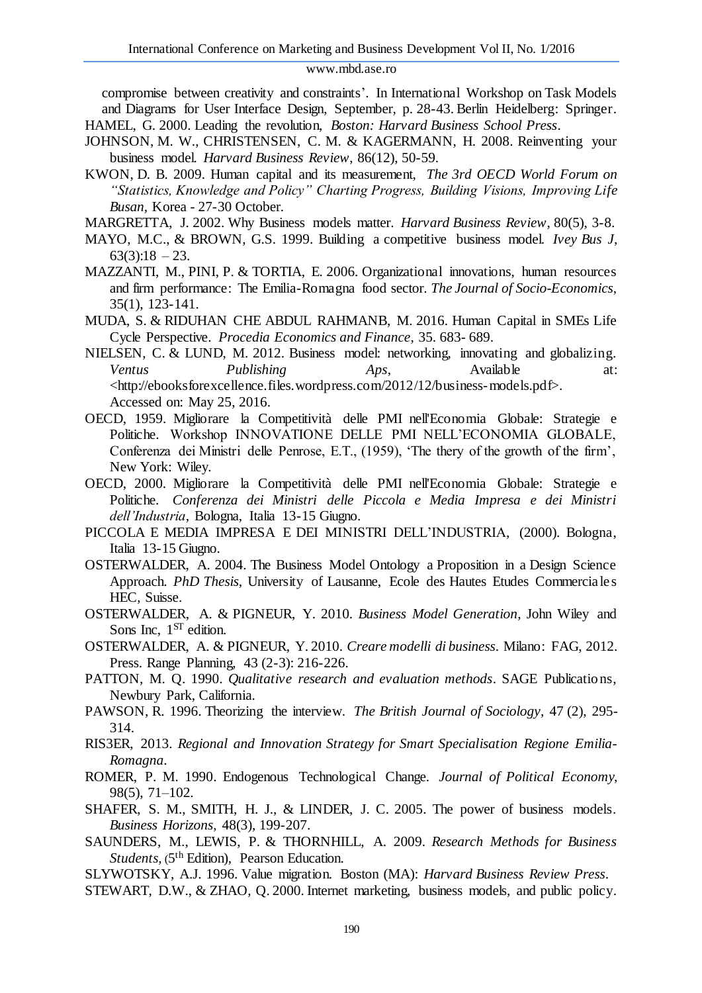compromise between creativity and constraints'. In International Workshop on Task Models and Diagrams for User Interface Design, September, p. 28-43. Berlin Heidelberg: Springer. HAMEL, G. 2000. Leading the revolution, *Boston: Harvard Business School Press*.

- JOHNSON, M. W., CHRISTENSEN, C. M. & KAGERMANN, H. 2008. Reinventing your business model. *Harvard Business Review*, 86(12), 50-59.
- KWON, D. B. 2009. Human capital and its measurement, *The 3rd OECD World Forum on "Statistics, Knowledge and Policy" Charting Progress, Building Visions, Improving Life Busan*, Korea - 27-30 October.
- MARGRETTA, J. 2002. Why Business models matter. *Harvard Business Review*, 80(5), 3-8.
- MAYO, M.C., & BROWN, G.S. 1999. Building a competitive business model. *Ivey Bus J*,  $63(3):18 - 23.$
- MAZZANTI, M., PINI, P. & TORTIA, E. 2006. Organizational innovations, human resources and firm performance: The Emilia-Romagna food sector. *The Journal of Socio-Economics*, 35(1), 123-141.
- MUDA, S. & RIDUHAN CHE ABDUL RAHMANB, M. 2016. Human Capital in SMEs Life Cycle Perspective. *Procedia Economics and Finance*, 35. 683- 689.
- NIELSEN, C. & LUND, M. 2012. Business model: networking, innovating and globalizing. *Ventus Publishing Aps*, Available at: <http://ebooksforexcellence.files.wordpress.com/2012/12/business-models.pdf>. Accessed on: May 25, 2016.
- OECD, 1959. Migliorare la Competitività delle PMI nell'Economia Globale: Strategie e Politiche. Workshop INNOVATIONE DELLE PMI NELL'ECONOMIA GLOBALE, Conferenza dei Ministri delle Penrose, E.T., (1959), 'The thery of the growth of the firm', New York: Wiley.
- OECD, 2000. Migliorare la Competitività delle PMI nell'Economia Globale: Strategie e Politiche. *Conferenza dei Ministri delle Piccola e Media Impresa e dei Ministri dell'Industria*, Bologna, Italia 13-15 Giugno.
- PICCOLA E MEDIA IMPRESA E DEI MINISTRI DELL'INDUSTRIA, (2000). Bologna, Italia 13-15 Giugno.
- OSTERWALDER, A. 2004. [The Business Model Ontology a Proposition in a Design Science](http://www.hec.unil.ch/aosterwa/PhD/Osterwalder_PhD_BM_Ontology.pdf)  [Approach.](http://www.hec.unil.ch/aosterwa/PhD/Osterwalder_PhD_BM_Ontology.pdf) *PhD Thesis,* University of Lausanne, Ecole des Hautes Etudes Commerciales HEC*,* Suisse.
- OSTERWALDER, A. & PIGNEUR, Y. 2010. *Business Model Generation*, John Wiley and Sons Inc, 1<sup>ST</sup> edition.
- OSTERWALDER, A. & PIGNEUR, Y. 2010. *Creare modelli di business*. Milano: FAG, 2012. Press. Range Planning, 43 (2-3): 216-226.
- PATTON, M. Q. 1990. *Qualitative research and evaluation methods*. SAGE Publications, Newbury Park, California.
- PAWSON, R. 1996. Theorizing the interview. *The British Journal of Sociology*, 47 (2), 295- 314.
- RIS3ER, 2013. *Regional and Innovation Strategy for Smart Specialisation Regione Emilia-Romagna*.
- ROMER, P. M. 1990. Endogenous Technological Change. *Journal of Political Economy*, 98(5), 71–102.
- SHAFER, S. M., SMITH, H. J., & LINDER, J. C. 2005. The power of business models. *Business Horizons*, 48(3), 199-207.
- SAUNDERS, M., LEWIS, P. & THORNHILL, A. 2009. *Research Methods for Business*  Students, (5<sup>th</sup> Edition), Pearson Education.
- SLYWOTSKY, A.J. 1996. Value migration. Boston (MA): *Harvard Business Review Press*.
- STEWART, D.W., & ZHAO, Q. 2000. Internet marketing, business models, and public policy.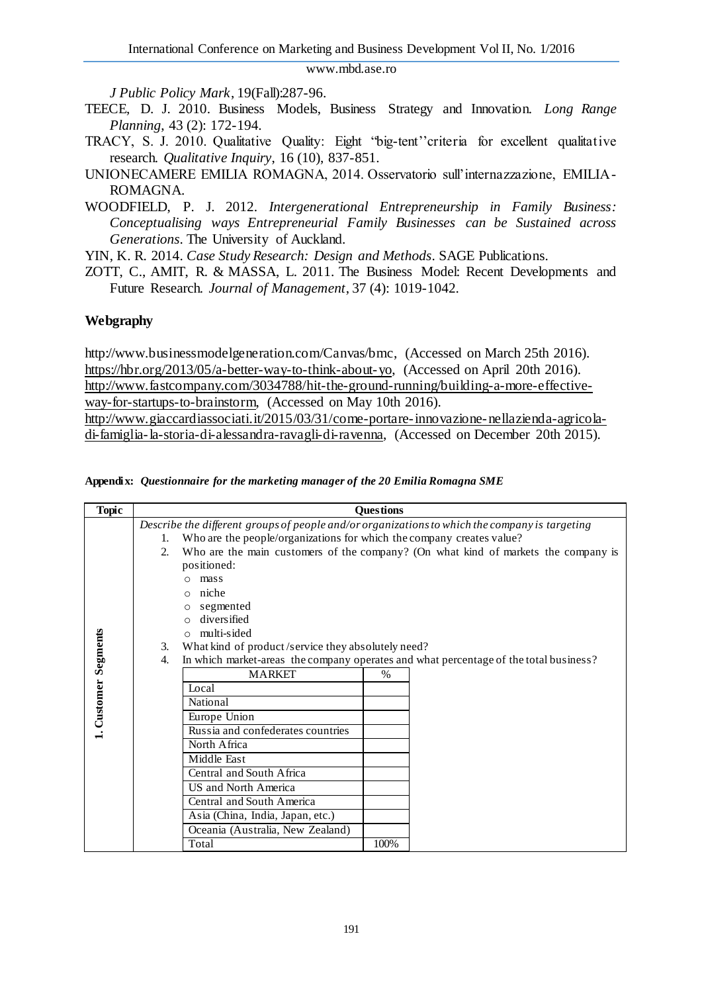*J Public Policy Mark*, 19(Fall):287-96.

- TEECE, D. J. 2010. Business Models, Business Strategy and Innovation. *Long Range Planning*, 43 (2): 172-194.
- TRACY, S. J. 2010. Qualitative Quality: Eight "big-tent''criteria for excellent qualitative research. *Qualitative Inquiry*, 16 (10), 837-851.
- UNIONECAMERE EMILIA ROMAGNA, 2014. Osservatorio sull'internazzazione, EMILIA-ROMAGNA.
- WOODFIELD, P. J. 2012. *Intergenerational Entrepreneurship in Family Business: Conceptualising ways Entrepreneurial Family Businesses can be Sustained across Generations*. The University of Auckland.

YIN, K. R. 2014. *Case Study Research: Design and Methods*. SAGE Publications.

ZOTT, C., AMIT, R. & MASSA, L. 2011. The Business Model: Recent Developments and Future Research. *Journal of Management*, 37 (4): 1019-1042.

### **Webgraphy**

http://www.businessmodelgeneration.com/Canvas/bmc, (Accessed on March 25th 2016). [https://hbr.org/2013/05/a-better-way-to-think-about-yo,](https://hbr.org/2013/05/a-better-way-to-think-about-yo) (Accessed on April 20th 2016). [http://www.fastcompany.com/3034788/hit-the-ground-running/building-a-more-effective](http://www.fastcompany.com/3034788/hit-the-ground-running/building-a-more-effective-way-for-startups-to-brainstorm)[way-for-startups-to-brainstorm,](http://www.fastcompany.com/3034788/hit-the-ground-running/building-a-more-effective-way-for-startups-to-brainstorm) (Accessed on May 10th 2016). [http://www.giaccardiassociati.it/2015/03/31/come-portare-innovazione-nellazienda-agricola](http://www.giaccardiassociati.it/2015/03/31/come-portare-innovazione-nellazienda-agricola-di-famiglia-la-storia-di-alessandra-ravagli-di-ravenna)[di-famiglia-la-storia-di-alessandra-ravagli-di-ravenna,](http://www.giaccardiassociati.it/2015/03/31/come-portare-innovazione-nellazienda-agricola-di-famiglia-la-storia-di-alessandra-ravagli-di-ravenna) (Accessed on December 20th 2015).

|  |  | Appendix: Questionnaire for the marketing manager of the 20 Emilia Romagna SME |
|--|--|--------------------------------------------------------------------------------|
|  |  |                                                                                |

| <b>Topic</b>      | <b>Ouestions</b>                                                                               |                                                                                    |               |  |  |  |  |
|-------------------|------------------------------------------------------------------------------------------------|------------------------------------------------------------------------------------|---------------|--|--|--|--|
|                   | Describe the different groups of people and/or organizations to which the company is targeting |                                                                                    |               |  |  |  |  |
|                   | 1.                                                                                             | Who are the people/organizations for which the company creates value?              |               |  |  |  |  |
|                   | 2.                                                                                             | Who are the main customers of the company? (On what kind of markets the company is |               |  |  |  |  |
|                   |                                                                                                | positioned:                                                                        |               |  |  |  |  |
|                   |                                                                                                | mass                                                                               |               |  |  |  |  |
|                   |                                                                                                | niche                                                                              |               |  |  |  |  |
|                   |                                                                                                | segmented<br>$\circ$                                                               |               |  |  |  |  |
|                   |                                                                                                | diversified                                                                        |               |  |  |  |  |
|                   |                                                                                                | multi-sided<br>$\Omega$                                                            |               |  |  |  |  |
|                   | What kind of product/service they absolutely need?<br>3.                                       |                                                                                    |               |  |  |  |  |
|                   | In which market-areas the company operates and what percentage of the total business?<br>4.    |                                                                                    |               |  |  |  |  |
| Customer Segments |                                                                                                | <b>MARKET</b>                                                                      | $\frac{0}{0}$ |  |  |  |  |
|                   |                                                                                                | Local                                                                              |               |  |  |  |  |
|                   |                                                                                                | National                                                                           |               |  |  |  |  |
|                   |                                                                                                | Europe Union                                                                       |               |  |  |  |  |
|                   |                                                                                                | Russia and confederates countries                                                  |               |  |  |  |  |
|                   |                                                                                                | North Africa                                                                       |               |  |  |  |  |
|                   |                                                                                                | Middle East                                                                        |               |  |  |  |  |
|                   |                                                                                                | Central and South Africa                                                           |               |  |  |  |  |
|                   |                                                                                                | US and North America                                                               |               |  |  |  |  |
|                   |                                                                                                | Central and South America                                                          |               |  |  |  |  |
|                   |                                                                                                | Asia (China, India, Japan, etc.)                                                   |               |  |  |  |  |
|                   |                                                                                                | Oceania (Australia, New Zealand)                                                   |               |  |  |  |  |
|                   |                                                                                                | Total                                                                              | 100%          |  |  |  |  |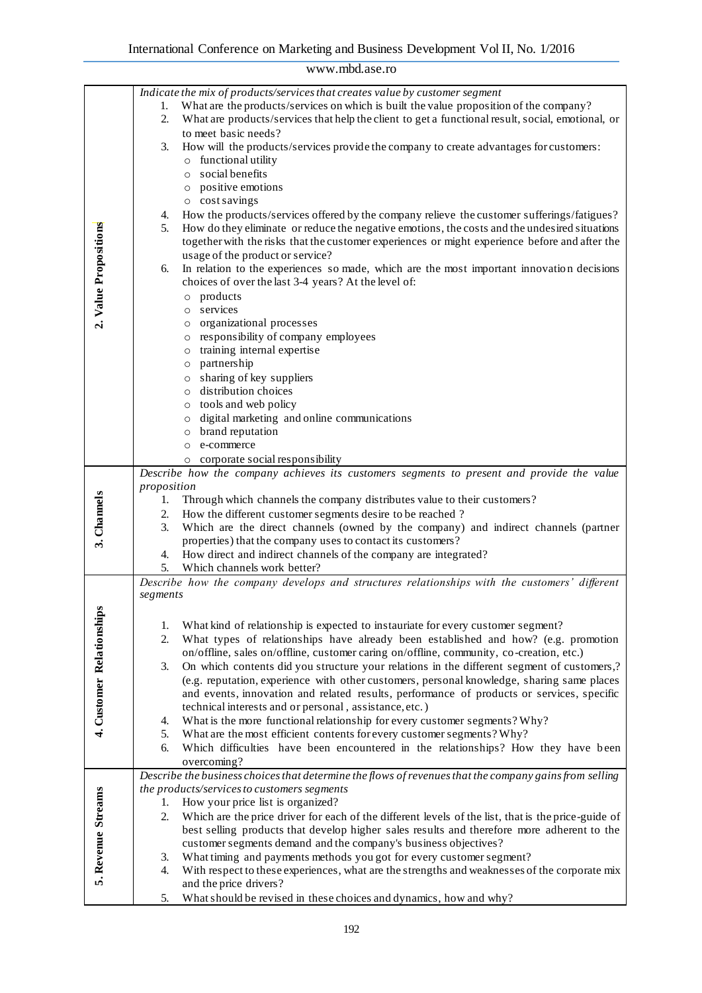| www.mbd.ase.ro            |                                                                                                                                                                                                                                                                                                                                                                                                                                                                                                                                                                                                                                                                                                                                                                                                                                                                                                                                                                                                                                                                                                                                                                                                                                                                                                                                                                                                                                                      |  |  |
|---------------------------|------------------------------------------------------------------------------------------------------------------------------------------------------------------------------------------------------------------------------------------------------------------------------------------------------------------------------------------------------------------------------------------------------------------------------------------------------------------------------------------------------------------------------------------------------------------------------------------------------------------------------------------------------------------------------------------------------------------------------------------------------------------------------------------------------------------------------------------------------------------------------------------------------------------------------------------------------------------------------------------------------------------------------------------------------------------------------------------------------------------------------------------------------------------------------------------------------------------------------------------------------------------------------------------------------------------------------------------------------------------------------------------------------------------------------------------------------|--|--|
| 2. Value Propositions     | Indicate the mix of products/services that creates value by customer segment<br>What are the products/services on which is built the value proposition of the company?<br>1.<br>What are products/services that help the client to get a functional result, social, emotional, or<br>2.<br>to meet basic needs?<br>How will the products/services provide the company to create advantages for customers:<br>3.<br>$\circ\,\,$ functional utility<br>o social benefits<br>o positive emotions<br>o cost savings<br>How the products/services offered by the company relieve the customer sufferings/fatigues?<br>4.<br>How do they eliminate or reduce the negative emotions, the costs and the undesired situations<br>5.<br>together with the risks that the customer experiences or might experience before and after the<br>usage of the product or service?<br>In relation to the experiences so made, which are the most important innovation decisions<br>6.<br>choices of over the last 3-4 years? At the level of:<br>products<br>$\circ$<br>services<br>$\circ$<br>o organizational processes<br>o responsibility of company employees<br>training internal expertise<br>$\circ$<br>o partnership<br>o sharing of key suppliers<br>o distribution choices<br>o tools and web policy<br>digital marketing and online communications<br>$\circ$<br>brand reputation<br>$\circ$<br>e-commerce<br>$\circ$<br>o corporate social responsibility |  |  |
| 3. Channels               | Describe how the company achieves its customers segments to present and provide the value<br>proposition<br>Through which channels the company distributes value to their customers?<br>1.<br>How the different customer segments desire to be reached?<br>2.<br>Which are the direct channels (owned by the company) and indirect channels (partner<br>3.<br>properties) that the company uses to contact its customers?<br>4. How direct and indirect channels of the company are integrated?<br>5. Which channels work better?                                                                                                                                                                                                                                                                                                                                                                                                                                                                                                                                                                                                                                                                                                                                                                                                                                                                                                                    |  |  |
| 4. Customer Relationships | Describe how the company develops and structures relationships with the customers' different<br>segments<br>What kind of relationship is expected to instauriate for every customer segment?<br>1.<br>What types of relationships have already been established and how? (e.g. promotion<br>2.<br>on/offline, sales on/offline, customer caring on/offline, community, co-creation, etc.)<br>On which contents did you structure your relations in the different segment of customers,?<br>3.<br>(e.g. reputation, experience with other customers, personal knowledge, sharing same places<br>and events, innovation and related results, performance of products or services, specific<br>technical interests and or personal, assistance, etc.)<br>What is the more functional relationship for every customer segments? Why?<br>4.<br>What are the most efficient contents for every customer segments? Why?<br>5.<br>Which difficulties have been encountered in the relationships? How they have been<br>6.<br>overcoming?                                                                                                                                                                                                                                                                                                                                                                                                                     |  |  |
| 5. Revenue Streams        | Describe the business choices that determine the flows of revenues that the company gains from selling<br>the products/services to customers segments<br>How your price list is organized?<br>1.<br>Which are the price driver for each of the different levels of the list, that is the price-guide of<br>2.<br>best selling products that develop higher sales results and therefore more adherent to the<br>customer segments demand and the company's business objectives?<br>What timing and payments methods you got for every customer segment?<br>3.<br>With respect to these experiences, what are the strengths and weaknesses of the corporate mix<br>4.<br>and the price drivers?<br>What should be revised in these choices and dynamics, how and why?<br>5.                                                                                                                                                                                                                                                                                                                                                                                                                                                                                                                                                                                                                                                                            |  |  |